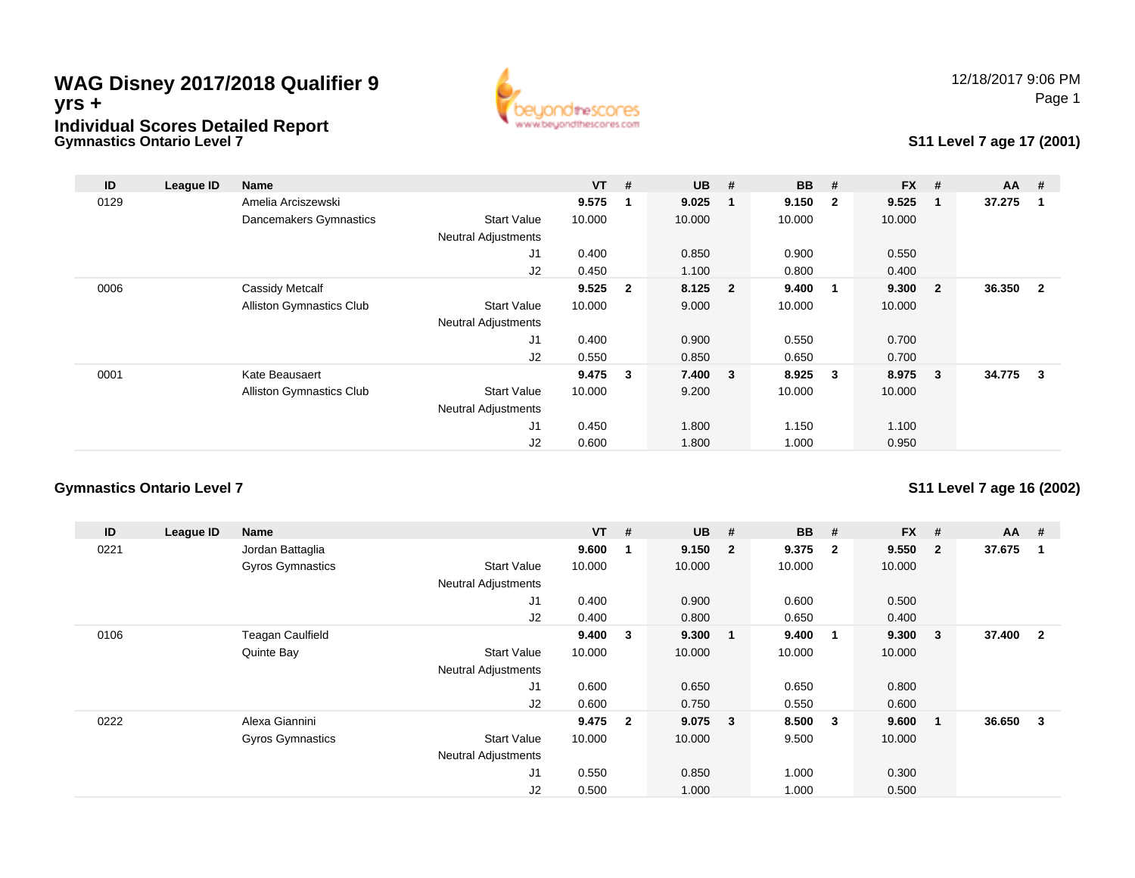#### **Gymnastics Ontario Level 7WAG Disney 2017/2018 Qualifier 9yrs +Individual Scores Detailed Report**



#### **S11 Level 7 age 17 (2001)**

| ID   | League ID | <b>Name</b>                     |                            | $VT$ # |                | $UB$ #  | <b>BB</b> | #                       | <b>FX</b> | #                       | $AA$ # |              |
|------|-----------|---------------------------------|----------------------------|--------|----------------|---------|-----------|-------------------------|-----------|-------------------------|--------|--------------|
| 0129 |           | Amelia Arciszewski              |                            | 9.575  | 1              | 9.025   | 9.150     | $\overline{\mathbf{2}}$ | 9.525     | -1                      | 37.275 |              |
|      |           | Dancemakers Gymnastics          | <b>Start Value</b>         | 10.000 |                | 10.000  | 10.000    |                         | 10.000    |                         |        |              |
|      |           |                                 | <b>Neutral Adjustments</b> |        |                |         |           |                         |           |                         |        |              |
|      |           |                                 | J1                         | 0.400  |                | 0.850   | 0.900     |                         | 0.550     |                         |        |              |
|      |           |                                 | J2                         | 0.450  |                | 1.100   | 0.800     |                         | 0.400     |                         |        |              |
| 0006 |           | Cassidy Metcalf                 |                            | 9.525  | $\overline{2}$ | 8.125 2 | 9.400     | - 1                     | 9.300     | $\overline{\mathbf{2}}$ | 36.350 | $\mathbf{2}$ |
|      |           | <b>Alliston Gymnastics Club</b> | <b>Start Value</b>         | 10.000 |                | 9.000   | 10.000    |                         | 10.000    |                         |        |              |
|      |           |                                 | <b>Neutral Adjustments</b> |        |                |         |           |                         |           |                         |        |              |
|      |           |                                 | J1                         | 0.400  |                | 0.900   | 0.550     |                         | 0.700     |                         |        |              |
|      |           |                                 | J2                         | 0.550  |                | 0.850   | 0.650     |                         | 0.700     |                         |        |              |
| 0001 |           | Kate Beausaert                  |                            | 9.475  | $\mathbf{3}$   | 7.400 3 | 8.925     | $\overline{\mathbf{3}}$ | 8.975     | $\mathbf{3}$            | 34.775 | 3            |
|      |           | <b>Alliston Gymnastics Club</b> | <b>Start Value</b>         | 10.000 |                | 9.200   | 10.000    |                         | 10.000    |                         |        |              |
|      |           |                                 | <b>Neutral Adjustments</b> |        |                |         |           |                         |           |                         |        |              |
|      |           |                                 | J1                         | 0.450  |                | 1.800   | 1.150     |                         | 1.100     |                         |        |              |
|      |           |                                 | J2                         | 0.600  |                | 1.800   | 1.000     |                         | 0.950     |                         |        |              |

#### **Gymnastics Ontario Level 7**

**S11 Level 7 age 16 (2002)**

| ID   | League ID | Name                    |                            | $VT$ #  |    | <b>UB</b> | #                       | <b>BB</b> | #                       | <b>FX</b> | #              | $AA$ # |                |
|------|-----------|-------------------------|----------------------------|---------|----|-----------|-------------------------|-----------|-------------------------|-----------|----------------|--------|----------------|
| 0221 |           | Jordan Battaglia        |                            | 9.600   | -1 | 9.150     | $\overline{\mathbf{2}}$ | 9.375     | $\overline{2}$          | 9.550     | $\overline{2}$ | 37.675 |                |
|      |           | <b>Gyros Gymnastics</b> | <b>Start Value</b>         | 10.000  |    | 10.000    |                         | 10.000    |                         | 10.000    |                |        |                |
|      |           |                         | <b>Neutral Adjustments</b> |         |    |           |                         |           |                         |           |                |        |                |
|      |           |                         | J1                         | 0.400   |    | 0.900     |                         | 0.600     |                         | 0.500     |                |        |                |
|      |           |                         | J2                         | 0.400   |    | 0.800     |                         | 0.650     |                         | 0.400     |                |        |                |
| 0106 |           | <b>Teagan Caulfield</b> |                            | 9.400   | 3  | 9.300     | $\overline{\mathbf{1}}$ | 9.400     | $\overline{\mathbf{1}}$ | 9.300     | 3              | 37.400 | $\overline{2}$ |
|      |           | Quinte Bay              | <b>Start Value</b>         | 10.000  |    | 10.000    |                         | 10.000    |                         | 10.000    |                |        |                |
|      |           |                         | <b>Neutral Adjustments</b> |         |    |           |                         |           |                         |           |                |        |                |
|      |           |                         | J1                         | 0.600   |    | 0.650     |                         | 0.650     |                         | 0.800     |                |        |                |
|      |           |                         | J2                         | 0.600   |    | 0.750     |                         | 0.550     |                         | 0.600     |                |        |                |
| 0222 |           | Alexa Giannini          |                            | 9.475 2 |    | 9.075     | $\overline{\mathbf{3}}$ | 8.500     | $\mathbf{3}$            | 9.600     |                | 36.650 | 3              |
|      |           | Gyros Gymnastics        | <b>Start Value</b>         | 10.000  |    | 10.000    |                         | 9.500     |                         | 10.000    |                |        |                |
|      |           |                         | <b>Neutral Adjustments</b> |         |    |           |                         |           |                         |           |                |        |                |
|      |           |                         | J1                         | 0.550   |    | 0.850     |                         | 1.000     |                         | 0.300     |                |        |                |
|      |           |                         | J2                         | 0.500   |    | 1.000     |                         | 1.000     |                         | 0.500     |                |        |                |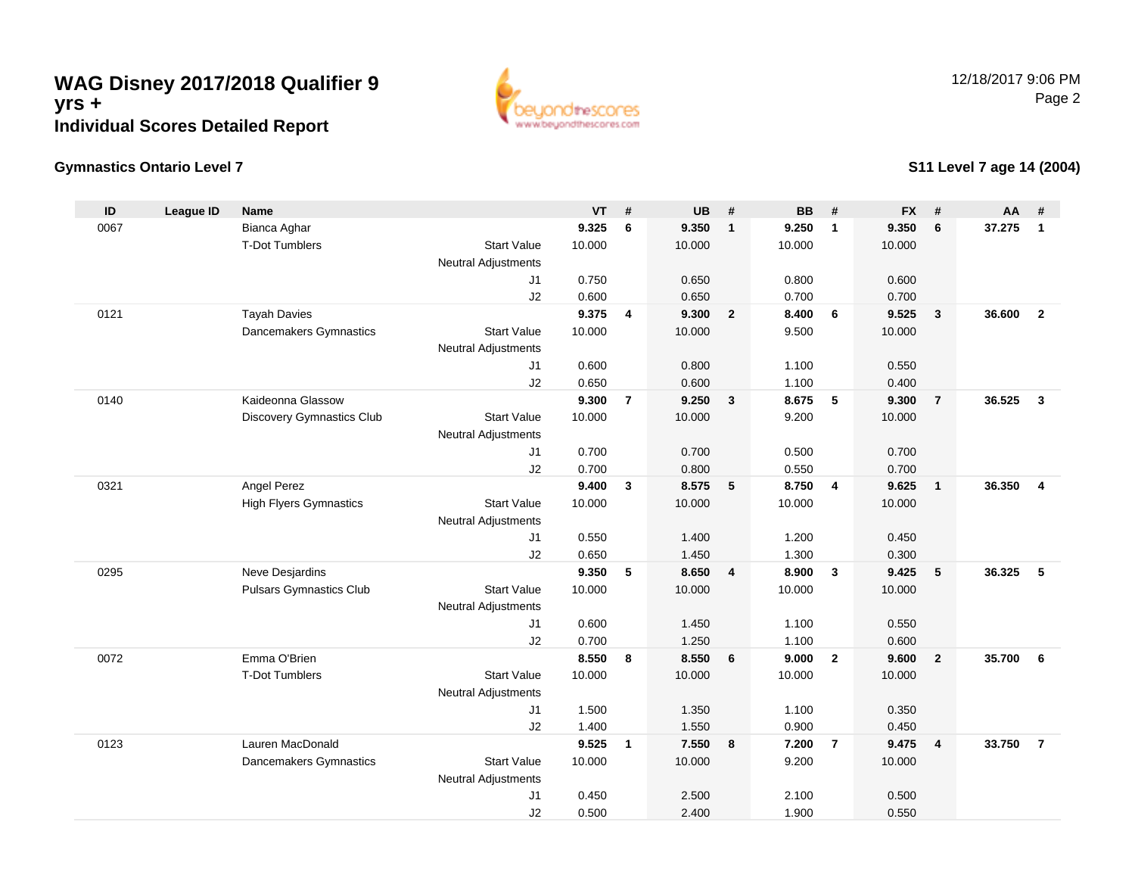### **WAG Disney 2017/2018 Qualifier 9yrs +Individual Scores Detailed Report**



#### **Gymnastics Ontario Level 7**

#### **S11 Level 7 age 14 (2004)**

| ID   | <b>League ID</b> | <b>Name</b>                    |                            | VT     | $\#$           | <b>UB</b> | $\pmb{\#}$              | <b>BB</b> | #                       | <b>FX</b> | $\pmb{\#}$     | <b>AA</b> | #                       |
|------|------------------|--------------------------------|----------------------------|--------|----------------|-----------|-------------------------|-----------|-------------------------|-----------|----------------|-----------|-------------------------|
| 0067 |                  | Bianca Aghar                   |                            | 9.325  | 6              | 9.350     | $\mathbf{1}$            | 9.250     | $\mathbf{1}$            | 9.350     | 6              | 37.275    | $\overline{1}$          |
|      |                  | <b>T-Dot Tumblers</b>          | <b>Start Value</b>         | 10.000 |                | 10.000    |                         | 10.000    |                         | 10.000    |                |           |                         |
|      |                  |                                | <b>Neutral Adjustments</b> |        |                |           |                         |           |                         |           |                |           |                         |
|      |                  |                                | J <sub>1</sub>             | 0.750  |                | 0.650     |                         | 0.800     |                         | 0.600     |                |           |                         |
|      |                  |                                | J2                         | 0.600  |                | 0.650     |                         | 0.700     |                         | 0.700     |                |           |                         |
| 0121 |                  | <b>Tayah Davies</b>            |                            | 9.375  | 4              | 9.300     | $\overline{\mathbf{2}}$ | 8.400     | 6                       | 9.525     | $\mathbf{3}$   | 36.600    | $\overline{2}$          |
|      |                  | Dancemakers Gymnastics         | <b>Start Value</b>         | 10.000 |                | 10.000    |                         | 9.500     |                         | 10.000    |                |           |                         |
|      |                  |                                | <b>Neutral Adjustments</b> |        |                |           |                         |           |                         |           |                |           |                         |
|      |                  |                                | J <sub>1</sub>             | 0.600  |                | 0.800     |                         | 1.100     |                         | 0.550     |                |           |                         |
|      |                  |                                | J2                         | 0.650  |                | 0.600     |                         | 1.100     |                         | 0.400     |                |           |                         |
| 0140 |                  | Kaideonna Glassow              |                            | 9.300  | $\overline{7}$ | 9.250     | $\overline{\mathbf{3}}$ | 8.675     | 5                       | 9.300     | $\overline{7}$ | 36.525    | $\overline{\mathbf{3}}$ |
|      |                  | Discovery Gymnastics Club      | <b>Start Value</b>         | 10.000 |                | 10.000    |                         | 9.200     |                         | 10.000    |                |           |                         |
|      |                  |                                | <b>Neutral Adjustments</b> |        |                |           |                         |           |                         |           |                |           |                         |
|      |                  |                                | J1                         | 0.700  |                | 0.700     |                         | 0.500     |                         | 0.700     |                |           |                         |
|      |                  |                                | J2                         | 0.700  |                | 0.800     |                         | 0.550     |                         | 0.700     |                |           |                         |
| 0321 |                  | Angel Perez                    |                            | 9.400  | $\mathbf{3}$   | 8.575     | $5\phantom{.0}$         | 8.750     | $\overline{4}$          | 9.625     | $\mathbf{1}$   | 36.350    | $\overline{4}$          |
|      |                  | <b>High Flyers Gymnastics</b>  | <b>Start Value</b>         | 10.000 |                | 10.000    |                         | 10.000    |                         | 10.000    |                |           |                         |
|      |                  |                                | <b>Neutral Adjustments</b> |        |                |           |                         |           |                         |           |                |           |                         |
|      |                  |                                | J <sub>1</sub>             | 0.550  |                | 1.400     |                         | 1.200     |                         | 0.450     |                |           |                         |
|      |                  |                                | J2                         | 0.650  |                | 1.450     |                         | 1.300     |                         | 0.300     |                |           |                         |
| 0295 |                  | Neve Desjardins                |                            | 9.350  | 5              | 8.650     | $\overline{4}$          | 8.900     | $\overline{\mathbf{3}}$ | 9.425     | 5              | 36.325    | 5                       |
|      |                  | <b>Pulsars Gymnastics Club</b> | <b>Start Value</b>         | 10.000 |                | 10.000    |                         | 10.000    |                         | 10.000    |                |           |                         |
|      |                  |                                | <b>Neutral Adjustments</b> |        |                |           |                         |           |                         |           |                |           |                         |
|      |                  |                                | J1                         | 0.600  |                | 1.450     |                         | 1.100     |                         | 0.550     |                |           |                         |
|      |                  |                                | J2                         | 0.700  |                | 1.250     |                         | 1.100     |                         | 0.600     |                |           |                         |
| 0072 |                  | Emma O'Brien                   |                            | 8.550  | 8              | 8.550     | 6                       | 9.000     | $\overline{\mathbf{2}}$ | 9.600     | $\overline{2}$ | 35.700    | 6                       |
|      |                  | T-Dot Tumblers                 | <b>Start Value</b>         | 10.000 |                | 10.000    |                         | 10.000    |                         | 10.000    |                |           |                         |
|      |                  |                                | <b>Neutral Adjustments</b> |        |                |           |                         |           |                         |           |                |           |                         |
|      |                  |                                | J <sub>1</sub>             | 1.500  |                | 1.350     |                         | 1.100     |                         | 0.350     |                |           |                         |
|      |                  |                                | J2                         | 1.400  |                | 1.550     |                         | 0.900     |                         | 0.450     |                |           |                         |
| 0123 |                  | Lauren MacDonald               |                            | 9.525  | $\overline{1}$ | 7.550     | 8                       | 7.200     | $\overline{7}$          | 9.475     | 4              | 33.750    | $\overline{7}$          |
|      |                  | Dancemakers Gymnastics         | <b>Start Value</b>         | 10.000 |                | 10.000    |                         | 9.200     |                         | 10.000    |                |           |                         |
|      |                  |                                | <b>Neutral Adjustments</b> |        |                |           |                         |           |                         |           |                |           |                         |
|      |                  |                                | J1                         | 0.450  |                | 2.500     |                         | 2.100     |                         | 0.500     |                |           |                         |
|      |                  |                                | J2                         | 0.500  |                | 2.400     |                         | 1.900     |                         | 0.550     |                |           |                         |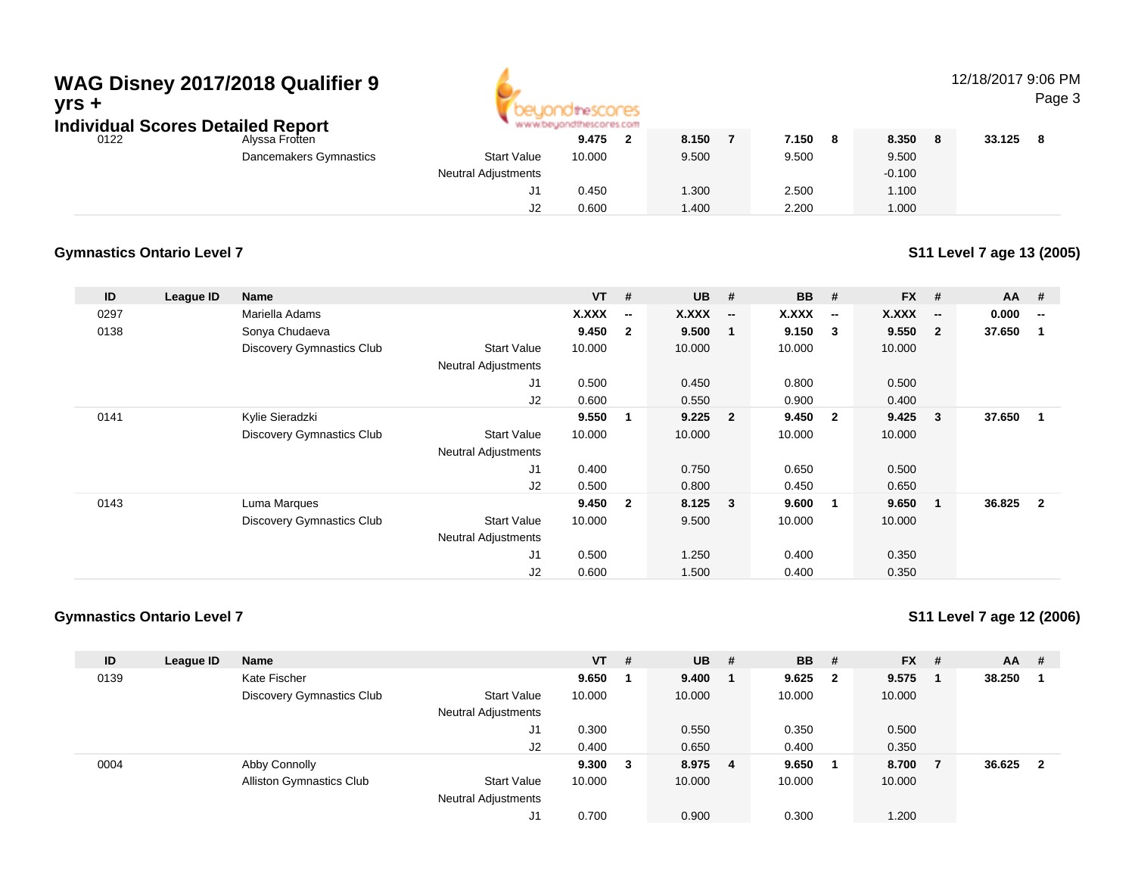## **WAG Disney 2017/2018 Qualifier 9yrs +**

**Individual Scores Detailed Report**



### 12/18/2017 9:06 PM

Page 3

| ingividual Scores Detalled Report |                        | AR AR AR PARAMENT AN IR MONTHAL ALS FOR LIL |        |       |       |              |        |  |
|-----------------------------------|------------------------|---------------------------------------------|--------|-------|-------|--------------|--------|--|
| 0122                              | Alyssa Frotten         |                                             | 9.475  | 8.150 | 7.150 | 8.350<br>- 8 | 33.125 |  |
|                                   | Dancemakers Gymnastics | <b>Start Value</b>                          | 10.000 | 9.500 | 9.500 | 9.500        |        |  |
|                                   |                        | <b>Neutral Adjustments</b>                  |        |       |       | $-0.100$     |        |  |
|                                   |                        | J1                                          | 0.450  | 1.300 | 2.500 | 1.100        |        |  |
|                                   |                        | J2                                          | 0.600  | 1.400 | 2.200 | 1.000        |        |  |

#### **Gymnastics Ontario Level 7**

**S11 Level 7 age 13 (2005)**

| ID   | League ID | <b>Name</b>                      |                            | $VT$ # |                          | <b>UB</b> | #                        | <b>BB</b> # |                          | $FX$ # |                          | $AA$ # |                         |
|------|-----------|----------------------------------|----------------------------|--------|--------------------------|-----------|--------------------------|-------------|--------------------------|--------|--------------------------|--------|-------------------------|
| 0297 |           | Mariella Adams                   |                            | X.XXX  | $\overline{\phantom{a}}$ | X.XXX     | $\overline{\phantom{a}}$ | X.XXX       | $\overline{\phantom{a}}$ | X.XXX  | $\overline{\phantom{a}}$ | 0.000  | --                      |
| 0138 |           | Sonya Chudaeva                   |                            | 9.450  | $\overline{2}$           | 9.500     | 1                        | 9.150       | $\overline{\mathbf{3}}$  | 9.550  | $\overline{\mathbf{2}}$  | 37.650 | - 1                     |
|      |           | <b>Discovery Gymnastics Club</b> | <b>Start Value</b>         | 10.000 |                          | 10.000    |                          | 10.000      |                          | 10.000 |                          |        |                         |
|      |           |                                  | <b>Neutral Adjustments</b> |        |                          |           |                          |             |                          |        |                          |        |                         |
|      |           |                                  | J1                         | 0.500  |                          | 0.450     |                          | 0.800       |                          | 0.500  |                          |        |                         |
|      |           |                                  | J2                         | 0.600  |                          | 0.550     |                          | 0.900       |                          | 0.400  |                          |        |                         |
| 0141 |           | Kylie Sieradzki                  |                            | 9.550  | 1                        | 9.225     | $\overline{\mathbf{2}}$  | 9.450       | $\overline{\mathbf{2}}$  | 9.425  | $\sqrt{3}$               | 37.650 | - 1                     |
|      |           | <b>Discovery Gymnastics Club</b> | <b>Start Value</b>         | 10.000 |                          | 10.000    |                          | 10.000      |                          | 10.000 |                          |        |                         |
|      |           |                                  | <b>Neutral Adjustments</b> |        |                          |           |                          |             |                          |        |                          |        |                         |
|      |           |                                  | J1                         | 0.400  |                          | 0.750     |                          | 0.650       |                          | 0.500  |                          |        |                         |
|      |           |                                  | J2                         | 0.500  |                          | 0.800     |                          | 0.450       |                          | 0.650  |                          |        |                         |
| 0143 |           | Luma Marques                     |                            | 9.450  | $\overline{2}$           | 8.125     | $\overline{\mathbf{3}}$  | 9.600       | 1                        | 9.650  | $\overline{\mathbf{1}}$  | 36.825 | $\overline{\mathbf{2}}$ |
|      |           | <b>Discovery Gymnastics Club</b> | <b>Start Value</b>         | 10.000 |                          | 9.500     |                          | 10.000      |                          | 10.000 |                          |        |                         |
|      |           |                                  | <b>Neutral Adjustments</b> |        |                          |           |                          |             |                          |        |                          |        |                         |
|      |           |                                  | J1                         | 0.500  |                          | 1.250     |                          | 0.400       |                          | 0.350  |                          |        |                         |
|      |           |                                  | J2                         | 0.600  |                          | 1.500     |                          | 0.400       |                          | 0.350  |                          |        |                         |

#### **Gymnastics Ontario Level 7**

**S11 Level 7 age 12 (2006)**

| ID   | League ID | <b>Name</b>                     |                            | $VT$ # |   | <b>UB</b> | - # | <b>BB</b> | -#                      | <b>FX</b> | # | $AA$ # |   |
|------|-----------|---------------------------------|----------------------------|--------|---|-----------|-----|-----------|-------------------------|-----------|---|--------|---|
| 0139 |           | Kate Fischer                    |                            | 9.650  |   | 9.400     |     | 9.625     | $\overline{\mathbf{2}}$ | 9.575     |   | 38.250 |   |
|      |           | Discovery Gymnastics Club       | <b>Start Value</b>         | 10.000 |   | 10.000    |     | 10.000    |                         | 10.000    |   |        |   |
|      |           |                                 | <b>Neutral Adjustments</b> |        |   |           |     |           |                         |           |   |        |   |
|      |           |                                 | J1                         | 0.300  |   | 0.550     |     | 0.350     |                         | 0.500     |   |        |   |
|      |           |                                 | J2                         | 0.400  |   | 0.650     |     | 0.400     |                         | 0.350     |   |        |   |
| 0004 |           | Abby Connolly                   |                            | 9.300  | 3 | 8.975 4   |     | 9.650     |                         | 8.700     |   | 36.625 | 2 |
|      |           | <b>Alliston Gymnastics Club</b> | <b>Start Value</b>         | 10.000 |   | 10.000    |     | 10.000    |                         | 10.000    |   |        |   |
|      |           |                                 | <b>Neutral Adjustments</b> |        |   |           |     |           |                         |           |   |        |   |
|      |           |                                 | J1                         | 0.700  |   | 0.900     |     | 0.300     |                         | 1.200     |   |        |   |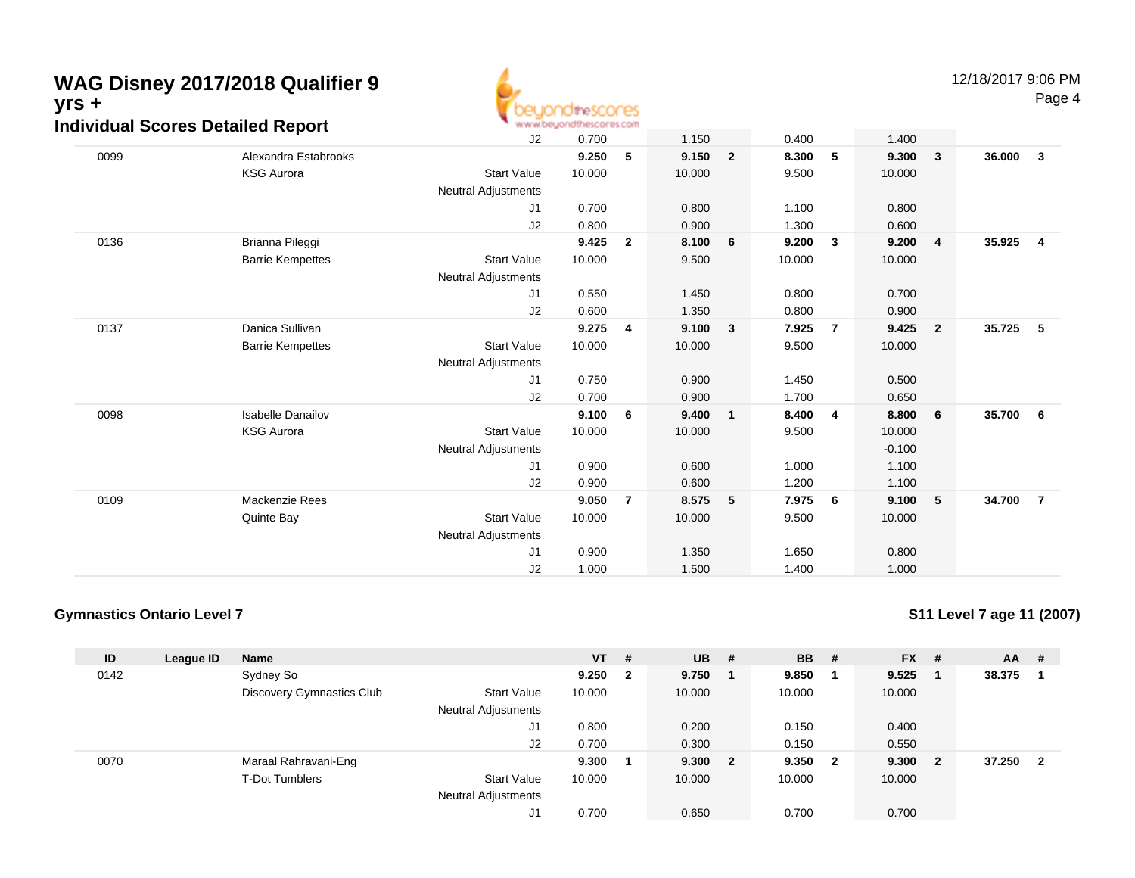# **WAG Disney 2017/2018 Qualifier 9yrs + Individual Scores Detailed Report**



Page 4

| igiviqual Scores Detalled Report |                          | ALAUM/DIDN'IN INTERNATIE REFORM |        |                |        |                |        |                         |          |                         |        |                |
|----------------------------------|--------------------------|---------------------------------|--------|----------------|--------|----------------|--------|-------------------------|----------|-------------------------|--------|----------------|
|                                  |                          | J2                              | 0.700  |                | 1.150  |                | 0.400  |                         | 1.400    |                         |        |                |
| 0099                             | Alexandra Estabrooks     |                                 | 9.250  | 5              | 9.150  | $\overline{2}$ | 8.300  | 5                       | 9.300    | $\mathbf{3}$            | 36.000 | $\mathbf{3}$   |
|                                  | <b>KSG Aurora</b>        | <b>Start Value</b>              | 10.000 |                | 10.000 |                | 9.500  |                         | 10.000   |                         |        |                |
|                                  |                          | Neutral Adjustments             |        |                |        |                |        |                         |          |                         |        |                |
|                                  |                          | J1                              | 0.700  |                | 0.800  |                | 1.100  |                         | 0.800    |                         |        |                |
|                                  |                          | J2                              | 0.800  |                | 0.900  |                | 1.300  |                         | 0.600    |                         |        |                |
| 0136                             | Brianna Pileggi          |                                 | 9.425  | $\mathbf{2}$   | 8.100  | 6              | 9.200  | 3                       | 9.200    | $\overline{4}$          | 35.925 | $\overline{4}$ |
|                                  | <b>Barrie Kempettes</b>  | <b>Start Value</b>              | 10.000 |                | 9.500  |                | 10.000 |                         | 10.000   |                         |        |                |
|                                  |                          | <b>Neutral Adjustments</b>      |        |                |        |                |        |                         |          |                         |        |                |
|                                  |                          | J1                              | 0.550  |                | 1.450  |                | 0.800  |                         | 0.700    |                         |        |                |
|                                  |                          | J2                              | 0.600  |                | 1.350  |                | 0.800  |                         | 0.900    |                         |        |                |
| 0137                             | Danica Sullivan          |                                 | 9.275  | $\overline{4}$ | 9.100  | 3              | 7.925  | $\overline{7}$          | 9.425    | $\overline{\mathbf{2}}$ | 35.725 | 5              |
|                                  | <b>Barrie Kempettes</b>  | <b>Start Value</b>              | 10.000 |                | 10.000 |                | 9.500  |                         | 10.000   |                         |        |                |
|                                  |                          | <b>Neutral Adjustments</b>      |        |                |        |                |        |                         |          |                         |        |                |
|                                  |                          | J1                              | 0.750  |                | 0.900  |                | 1.450  |                         | 0.500    |                         |        |                |
|                                  |                          | J2                              | 0.700  |                | 0.900  |                | 1.700  |                         | 0.650    |                         |        |                |
| 0098                             | <b>Isabelle Danailov</b> |                                 | 9.100  | -6             | 9.400  | $\mathbf{1}$   | 8.400  | $\overline{\mathbf{4}}$ | 8.800    | 6                       | 35.700 | 6              |
|                                  | <b>KSG Aurora</b>        | <b>Start Value</b>              | 10.000 |                | 10.000 |                | 9.500  |                         | 10.000   |                         |        |                |
|                                  |                          | <b>Neutral Adjustments</b>      |        |                |        |                |        |                         | $-0.100$ |                         |        |                |
|                                  |                          | J1                              | 0.900  |                | 0.600  |                | 1.000  |                         | 1.100    |                         |        |                |
|                                  |                          | J2                              | 0.900  |                | 0.600  |                | 1.200  |                         | 1.100    |                         |        |                |
| 0109                             | Mackenzie Rees           |                                 | 9.050  | $\overline{7}$ | 8.575  | 5              | 7.975  | 6                       | 9.100    | $-5$                    | 34.700 | $\overline{7}$ |
|                                  | Quinte Bay               | <b>Start Value</b>              | 10.000 |                | 10.000 |                | 9.500  |                         | 10.000   |                         |        |                |
|                                  |                          | Neutral Adjustments             |        |                |        |                |        |                         |          |                         |        |                |
|                                  |                          | J1                              | 0.900  |                | 1.350  |                | 1.650  |                         | 0.800    |                         |        |                |
|                                  |                          | J2                              | 1.000  |                | 1.500  |                | 1.400  |                         | 1.000    |                         |        |                |

#### **Gymnastics Ontario Level 7**

**S11 Level 7 age 11 (2007)**

| ID   | League ID | <b>Name</b>               |                            | $VT$ # |              | <b>UB</b> | - # | <b>BB</b> | #                       | <b>FX</b> | #  | $AA$ # |                         |
|------|-----------|---------------------------|----------------------------|--------|--------------|-----------|-----|-----------|-------------------------|-----------|----|--------|-------------------------|
| 0142 |           | Sydney So                 |                            | 9.250  | $\mathbf{2}$ | 9.750     |     | 9.850     |                         | 9.525     |    | 38.375 |                         |
|      |           | Discovery Gymnastics Club | <b>Start Value</b>         | 10.000 |              | 10.000    |     | 10.000    |                         | 10.000    |    |        |                         |
|      |           |                           | <b>Neutral Adjustments</b> |        |              |           |     |           |                         |           |    |        |                         |
|      |           |                           | J1                         | 0.800  |              | 0.200     |     | 0.150     |                         | 0.400     |    |        |                         |
|      |           |                           | J2                         | 0.700  |              | 0.300     |     | 0.150     |                         | 0.550     |    |        |                         |
| 0070 |           | Maraal Rahravani-Eng      |                            | 9.300  |              | 9.300 2   |     | 9.350     | $\overline{\mathbf{2}}$ | 9.300     | -2 | 37.250 | $\overline{\mathbf{2}}$ |
|      |           | <b>T-Dot Tumblers</b>     | <b>Start Value</b>         | 10.000 |              | 10.000    |     | 10.000    |                         | 10.000    |    |        |                         |
|      |           |                           | <b>Neutral Adjustments</b> |        |              |           |     |           |                         |           |    |        |                         |
|      |           |                           | J1                         | 0.700  |              | 0.650     |     | 0.700     |                         | 0.700     |    |        |                         |